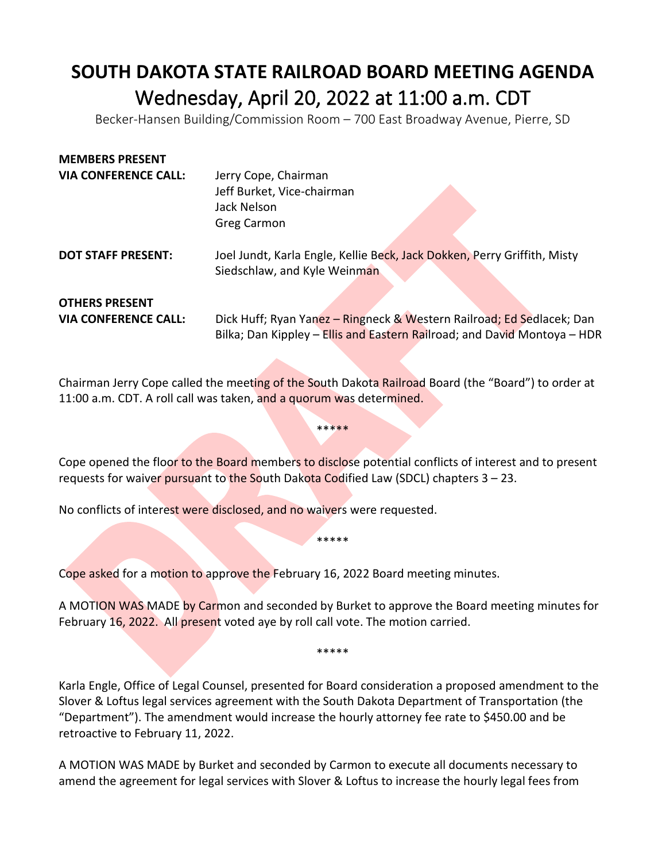## **SOUTH DAKOTA STATE RAILROAD BOARD MEETING AGENDA** Wednesday, April 20, 2022 at 11:00 a.m. CDT<br>Becker-Hansen Building/Commission Room – 700 East Broadway Avenue, Pierre, SD

| Jerry Cope, Chairman                                                     |
|--------------------------------------------------------------------------|
| Jeff Burket, Vice-chairman                                               |
| Jack Nelson                                                              |
| <b>Greg Carmon</b>                                                       |
| Joel Jundt, Karla Engle, Kellie Beck, Jack Dokken, Perry Griffith, Misty |
| Siedschlaw, and Kyle Weinman                                             |
|                                                                          |
| Dick Huff; Ryan Yanez - Ringneck & Western Railroad; Ed Sedlacek; Dan    |
| Bilka; Dan Kippley - Ellis and Eastern Railroad; and David Montoya - HDR |
|                                                                          |

Chairman Jerry Cope called the meeting of the South Dakota Railroad Board (the "Board") to order at 11:00 a.m. CDT. A roll call was taken, and a quorum was determined.

\*\*\*\*

Cope opened the floor to the Board members to disclose potential conflicts of interest and to present requests for waiver pursuant to the South Dakota Codified Law (SDCL) chapters  $3 - 23$ .

\*\*\*\*\*

No conflicts of interest were disclosed, and no waivers were requested.

Cope asked for a motion to approve the February 16, 2022 Board meeting minutes.

A MOTION WAS MADE by Carmon and seconded by Burket to approve the Board meeting minutes for February 16, 2022. All present voted aye by roll call vote. The motion carried.

\*\*\*\*\*

Karla Engle, Office of Legal Counsel, presented for Board consideration a proposed amendment to the Slover & Loftus legal services agreement with the South Dakota Department of Transportation (the "Department"). The amendment would increase the hourly attorney fee rate to \$450.00 and be retroactive to February 11, 2022.

A MOTION WAS MADE by Burket and seconded by Carmon to execute all documents necessary to amend the agreement for legal services with Slover & Loftus to increase the hourly legal fees from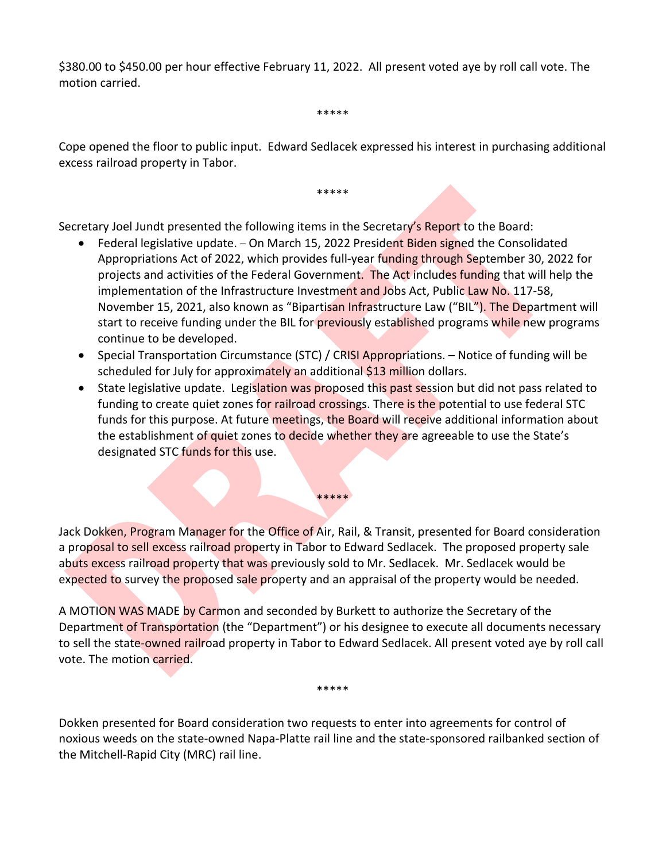\$380.00 to \$450.00 per hour effective February 11, 2022. All present voted aye by roll call vote. The motion carried.

\*\*\*\*\*

Cope opened the floor to public input. Edward Sedlacek expressed his interest in purchasing additional excess railroad property in Tabor.

\*\*\*\*\*

Secretary Joel Jundt presented the following items in the Secretary's Report to the Board:

- Federal legislative update. On March 15, 2022 President Biden signed the Consolidated Appropriations Act of 2022, which provides full-year funding through September 30, 2022 for projects and activities of the Federal Government. The Act includes funding that will help the implementation of the Infrastructure Investment and Jobs Act, Public Law No. 117-58, November 15, 2021, also known as "Bipartisan Infrastructure Law ("BIL"). The Department will start to receive funding under the BIL for *previously* established programs while new programs continue to be developed.
- Special Transportation Circumstance (STC) / CRISI Appropriations. Notice of funding will be scheduled for July for approximately an additional \$13 million dollars.
- State legislative update. Legislation was proposed this past session but did not pass related to funding to create quiet zones for railroad crossings. There is the potential to use federal STC funds for this purpose. At future meetings, the Board will receive additional information about the establishment of quiet zones to decide whether they are agreeable to use the State's designated STC funds for this use.

Jack Dokken, Program Manager for the Office of Air, Rail, & Transit, presented for Board consideration a proposal to sell excess railroad property in Tabor to Edward Sedlacek. The proposed property sale abuts excess railroad property that was previously sold to Mr. Sedlacek. Mr. Sedlacek would be expected to survey the proposed sale property and an appraisal of the property would be needed.

\*\*\*\*\*

A MOTION WAS MADE by Carmon and seconded by Burkett to authorize the Secretary of the Department of Transportation (the "Department") or his designee to execute all documents necessary to sell the state-owned railroad property in Tabor to Edward Sedlacek. All present voted aye by roll call vote. The motion carried.

\*\*\*\*\*

Dokken presented for Board consideration two requests to enter into agreements for control of noxious weeds on the state-owned Napa-Platte rail line and the state-sponsored railbanked section of the Mitchell-Rapid City (MRC) rail line.